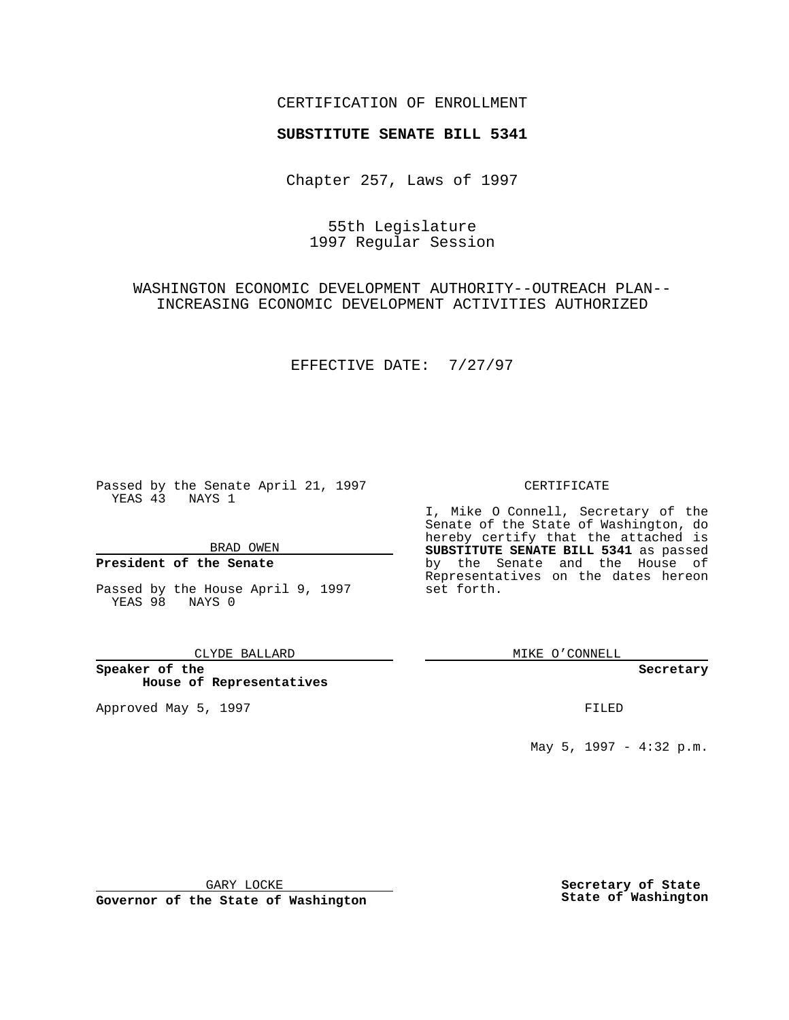## CERTIFICATION OF ENROLLMENT

# **SUBSTITUTE SENATE BILL 5341**

Chapter 257, Laws of 1997

55th Legislature 1997 Regular Session

WASHINGTON ECONOMIC DEVELOPMENT AUTHORITY--OUTREACH PLAN-- INCREASING ECONOMIC DEVELOPMENT ACTIVITIES AUTHORIZED

EFFECTIVE DATE: 7/27/97

Passed by the Senate April 21, 1997 YEAS 43 NAYS 1

BRAD OWEN

### **President of the Senate**

Passed by the House April 9, 1997 YEAS 98 NAYS 0

CLYDE BALLARD

**Speaker of the House of Representatives**

Approved May 5, 1997 **FILED** 

#### CERTIFICATE

I, Mike O Connell, Secretary of the Senate of the State of Washington, do hereby certify that the attached is **SUBSTITUTE SENATE BILL 5341** as passed by the Senate and the House of Representatives on the dates hereon set forth.

MIKE O'CONNELL

#### **Secretary**

May 5, 1997 - 4:32 p.m.

GARY LOCKE

**Governor of the State of Washington**

**Secretary of State State of Washington**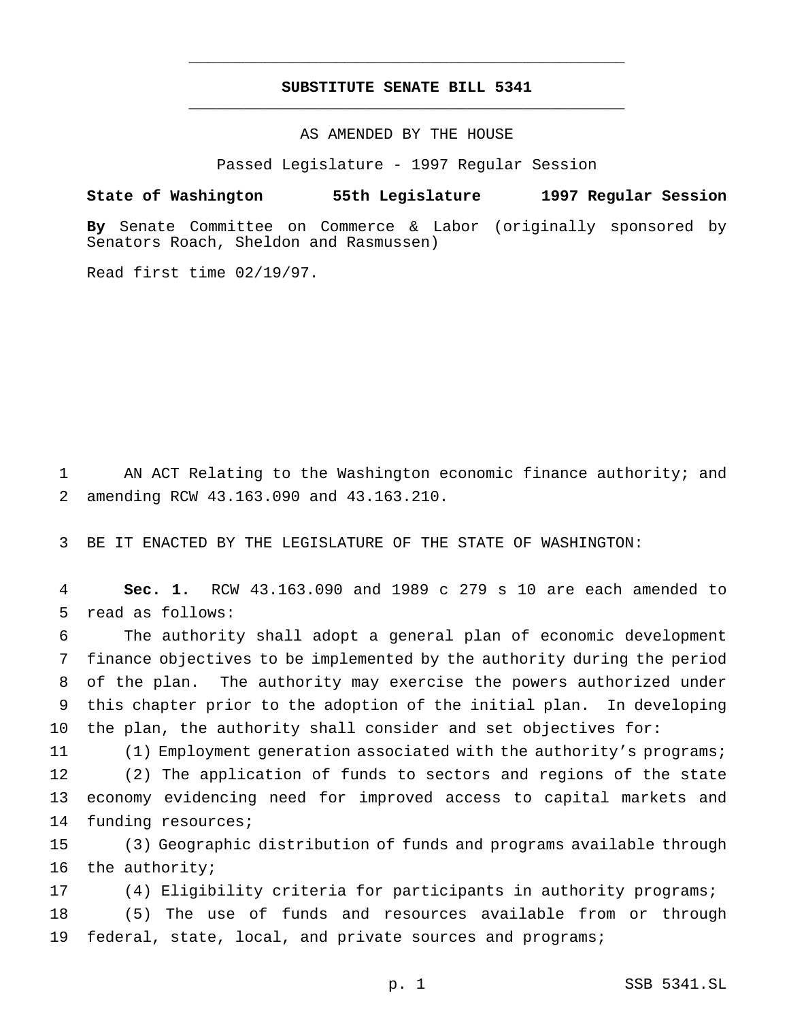## **SUBSTITUTE SENATE BILL 5341** \_\_\_\_\_\_\_\_\_\_\_\_\_\_\_\_\_\_\_\_\_\_\_\_\_\_\_\_\_\_\_\_\_\_\_\_\_\_\_\_\_\_\_\_\_\_\_

\_\_\_\_\_\_\_\_\_\_\_\_\_\_\_\_\_\_\_\_\_\_\_\_\_\_\_\_\_\_\_\_\_\_\_\_\_\_\_\_\_\_\_\_\_\_\_

## AS AMENDED BY THE HOUSE

Passed Legislature - 1997 Regular Session

### **State of Washington 55th Legislature 1997 Regular Session**

**By** Senate Committee on Commerce & Labor (originally sponsored by Senators Roach, Sheldon and Rasmussen)

Read first time 02/19/97.

1 AN ACT Relating to the Washington economic finance authority; and 2 amending RCW 43.163.090 and 43.163.210.

3 BE IT ENACTED BY THE LEGISLATURE OF THE STATE OF WASHINGTON:

4 **Sec. 1.** RCW 43.163.090 and 1989 c 279 s 10 are each amended to 5 read as follows:

 The authority shall adopt a general plan of economic development finance objectives to be implemented by the authority during the period of the plan. The authority may exercise the powers authorized under this chapter prior to the adoption of the initial plan. In developing the plan, the authority shall consider and set objectives for:

 (1) Employment generation associated with the authority's programs; (2) The application of funds to sectors and regions of the state economy evidencing need for improved access to capital markets and funding resources;

15 (3) Geographic distribution of funds and programs available through 16 the authority;

17 (4) Eligibility criteria for participants in authority programs;

18 (5) The use of funds and resources available from or through 19 federal, state, local, and private sources and programs;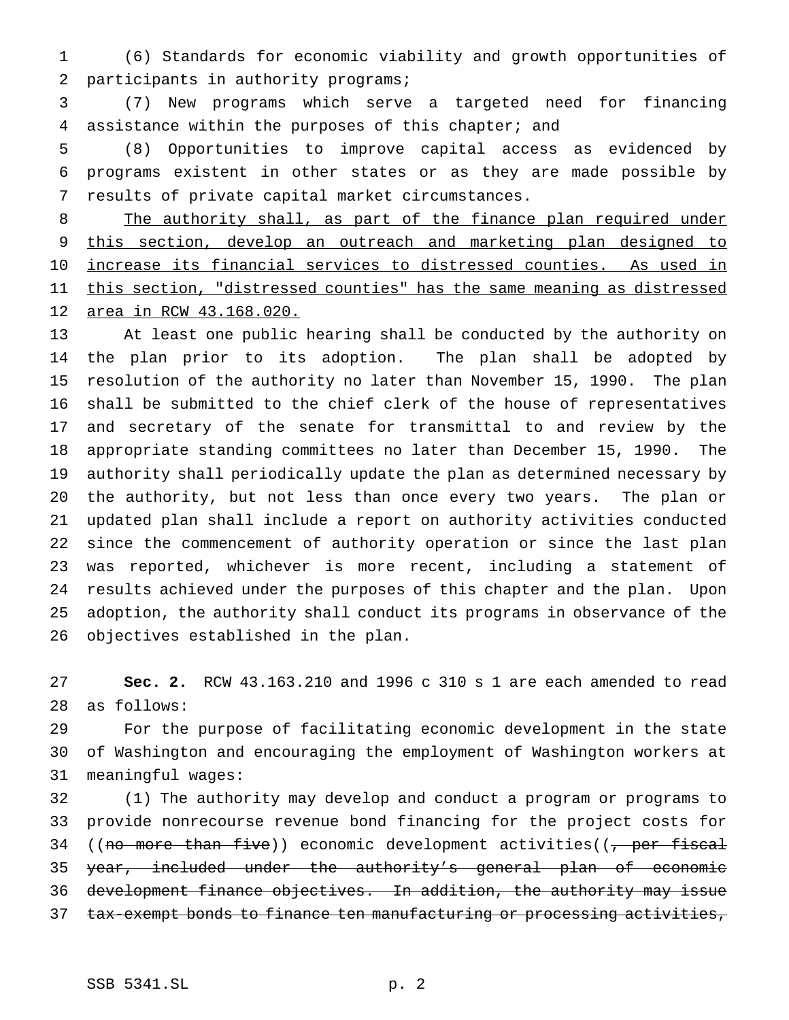(6) Standards for economic viability and growth opportunities of 2 participants in authority programs;

 (7) New programs which serve a targeted need for financing assistance within the purposes of this chapter; and

 (8) Opportunities to improve capital access as evidenced by programs existent in other states or as they are made possible by results of private capital market circumstances.

8 The authority shall, as part of the finance plan required under this section, develop an outreach and marketing plan designed to increase its financial services to distressed counties. As used in 11 this section, "distressed counties" has the same meaning as distressed area in RCW 43.168.020.

 At least one public hearing shall be conducted by the authority on the plan prior to its adoption. The plan shall be adopted by resolution of the authority no later than November 15, 1990. The plan shall be submitted to the chief clerk of the house of representatives and secretary of the senate for transmittal to and review by the appropriate standing committees no later than December 15, 1990. The authority shall periodically update the plan as determined necessary by the authority, but not less than once every two years. The plan or updated plan shall include a report on authority activities conducted since the commencement of authority operation or since the last plan was reported, whichever is more recent, including a statement of results achieved under the purposes of this chapter and the plan. Upon adoption, the authority shall conduct its programs in observance of the objectives established in the plan.

 **Sec. 2.** RCW 43.163.210 and 1996 c 310 s 1 are each amended to read as follows:

 For the purpose of facilitating economic development in the state of Washington and encouraging the employment of Washington workers at meaningful wages:

 (1) The authority may develop and conduct a program or programs to provide nonrecourse revenue bond financing for the project costs for 34 ((no more than five)) economic development activities((, per fiscal 35 year, included under the authority's general plan of economic development finance objectives. In addition, the authority may issue 37 tax-exempt bonds to finance ten manufacturing or processing activities,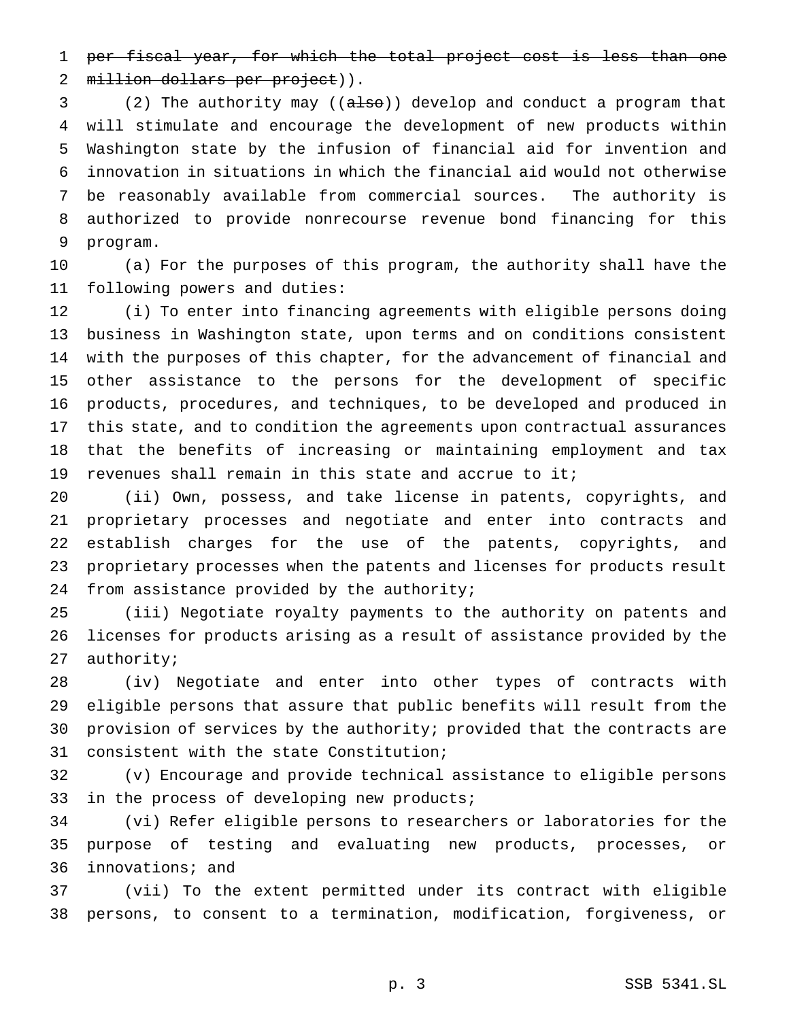1 per fiscal year, for which the total project cost is less than one 2 million dollars per project)).

3 (2) The authority may ((also)) develop and conduct a program that will stimulate and encourage the development of new products within Washington state by the infusion of financial aid for invention and innovation in situations in which the financial aid would not otherwise be reasonably available from commercial sources. The authority is authorized to provide nonrecourse revenue bond financing for this program.

 (a) For the purposes of this program, the authority shall have the following powers and duties:

 (i) To enter into financing agreements with eligible persons doing business in Washington state, upon terms and on conditions consistent with the purposes of this chapter, for the advancement of financial and other assistance to the persons for the development of specific products, procedures, and techniques, to be developed and produced in this state, and to condition the agreements upon contractual assurances that the benefits of increasing or maintaining employment and tax revenues shall remain in this state and accrue to it;

 (ii) Own, possess, and take license in patents, copyrights, and proprietary processes and negotiate and enter into contracts and establish charges for the use of the patents, copyrights, and proprietary processes when the patents and licenses for products result from assistance provided by the authority;

 (iii) Negotiate royalty payments to the authority on patents and licenses for products arising as a result of assistance provided by the authority;

 (iv) Negotiate and enter into other types of contracts with eligible persons that assure that public benefits will result from the provision of services by the authority; provided that the contracts are consistent with the state Constitution;

 (v) Encourage and provide technical assistance to eligible persons in the process of developing new products;

 (vi) Refer eligible persons to researchers or laboratories for the purpose of testing and evaluating new products, processes, or innovations; and

 (vii) To the extent permitted under its contract with eligible persons, to consent to a termination, modification, forgiveness, or